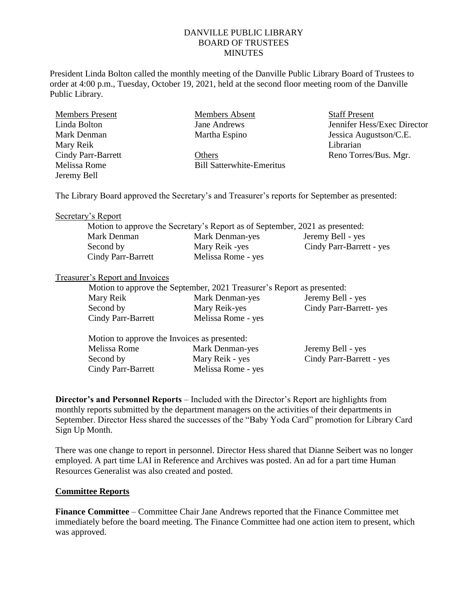# DANVILLE PUBLIC LIBRARY BOARD OF TRUSTEES MINUTES

President Linda Bolton called the monthly meeting of the Danville Public Library Board of Trustees to order at 4:00 p.m., Tuesday, October 19, 2021, held at the second floor meeting room of the Danville Public Library.

| <b>Members Present</b>                                                                         | Members Absent                   | <b>Staff Present</b>        |
|------------------------------------------------------------------------------------------------|----------------------------------|-----------------------------|
| Linda Bolton                                                                                   | Jane Andrews                     | Jennifer Hess/Exec Director |
| Mark Denman                                                                                    | Martha Espino                    | Jessica Augustson/C.E.      |
| Mary Reik                                                                                      |                                  | Librarian                   |
| <b>Cindy Parr-Barrett</b>                                                                      | Others                           | Reno Torres/Bus. Mgr.       |
| Melissa Rome                                                                                   | <b>Bill Satterwhite-Emeritus</b> |                             |
| Jeremy Bell                                                                                    |                                  |                             |
|                                                                                                |                                  |                             |
| The Library Board approved the Secretary's and Treasurer's reports for September as presented: |                                  |                             |

#### Secretary's Report

|                    | Motion to approve the Secretary's Report as of September, 2021 as presented: |                          |
|--------------------|------------------------------------------------------------------------------|--------------------------|
| Mark Denman        | Mark Denman-yes                                                              | Jeremy Bell - yes        |
| Second by          | Mary Reik -yes                                                               | Cindy Parr-Barrett - yes |
| Cindy Parr-Barrett | Melissa Rome - yes                                                           |                          |

### Treasurer's Report and Invoices

| Motion to approve the September, 2021 Treasurer's Report as presented: |                    |                        |
|------------------------------------------------------------------------|--------------------|------------------------|
| Mary Reik                                                              | Mark Denman-yes    | Jeremy Bell - yes      |
| Second by                                                              | Mary Reik-yes      | Cindy Parr-Barrett-yes |
| Cindy Parr-Barrett                                                     | Melissa Rome - yes |                        |

| Motion to approve the Invoices as presented: |                    |                          |
|----------------------------------------------|--------------------|--------------------------|
| Melissa Rome                                 | Mark Denman-yes    | Jeremy Bell - yes        |
| Second by                                    | Mary Reik - yes    | Cindy Parr-Barrett - yes |
| Cindy Parr-Barrett                           | Melissa Rome - yes |                          |

**Director's and Personnel Reports** – Included with the Director's Report are highlights from monthly reports submitted by the department managers on the activities of their departments in September. Director Hess shared the successes of the "Baby Yoda Card" promotion for Library Card Sign Up Month.

There was one change to report in personnel. Director Hess shared that Dianne Seibert was no longer employed. A part time LAI in Reference and Archives was posted. An ad for a part time Human Resources Generalist was also created and posted.

### **Committee Reports**

**Finance Committee** – Committee Chair Jane Andrews reported that the Finance Committee met immediately before the board meeting. The Finance Committee had one action item to present, which was approved.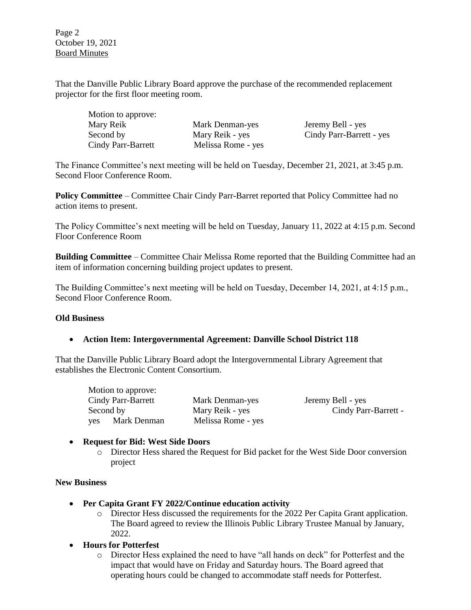Page 2 October 19, 2021 Board Minutes

That the Danville Public Library Board approve the purchase of the recommended replacement projector for the first floor meeting room.

| Motion to approve: |                    |
|--------------------|--------------------|
| Mary Reik          | Mark Denman-yes    |
| Second by          | Mary Reik - yes    |
| Cindy Parr-Barrett | Melissa Rome - yes |

Jeremy Bell - yes Cindy Parr-Barrett - yes

The Finance Committee's next meeting will be held on Tuesday, December 21, 2021, at 3:45 p.m. Second Floor Conference Room.

**Policy Committee** – Committee Chair Cindy Parr-Barret reported that Policy Committee had no action items to present.

The Policy Committee's next meeting will be held on Tuesday, January 11, 2022 at 4:15 p.m. Second Floor Conference Room

**Building Committee** – Committee Chair Melissa Rome reported that the Building Committee had an item of information concerning building project updates to present.

The Building Committee's next meeting will be held on Tuesday, December 14, 2021, at 4:15 p.m., Second Floor Conference Room.

### **Old Business**

# **Action Item: Intergovernmental Agreement: Danville School District 118**

That the Danville Public Library Board adopt the Intergovernmental Library Agreement that establishes the Electronic Content Consortium.

Motion to approve: Cindy Parr-Barrett Mark Denman-yes Jeremy Bell - yes yes Mark Denman Melissa Rome - yes

Second by Mary Reik - yes Cindy Parr-Barrett -

# **Request for Bid: West Side Doors**

o Director Hess shared the Request for Bid packet for the West Side Door conversion project

### **New Business**

- **Per Capita Grant FY 2022/Continue education activity**
	- o Director Hess discussed the requirements for the 2022 Per Capita Grant application. The Board agreed to review the Illinois Public Library Trustee Manual by January, 2022.
- **Hours for Potterfest**
	- o Director Hess explained the need to have "all hands on deck" for Potterfest and the impact that would have on Friday and Saturday hours. The Board agreed that operating hours could be changed to accommodate staff needs for Potterfest.